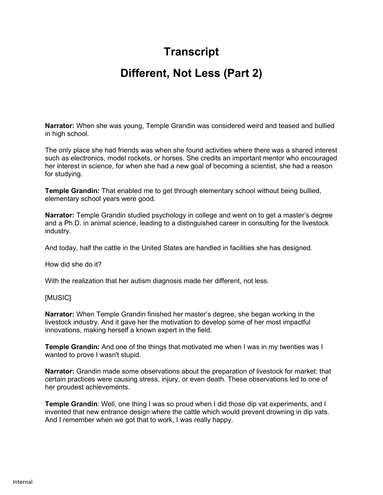## **Transcript**

## **Different, Not Less (Part 2)**

**Narrator:** When she was young, Temple Grandin was considered weird and teased and bullied in high school.

The only place she had friends was when she found activities where there was a shared interest such as electronics, model rockets, or horses. She credits an important mentor who encouraged her interest in science, for when she had a new goal of becoming a scientist, she had a reason for studying.

**Temple Grandin:** That enabled me to get through elementary school without being bullied, elementary school years were good.

**Narrator:** Temple Grandin studied psychology in college and went on to get a master's degree and a Ph.D. in animal science, leading to a distinguished career in consulting for the livestock industry.

And today, half the cattle in the United States are handled in facilities she has designed.

How did she do it?

With the realization that her autism diagnosis made her different, not less.

## [MUSIC]

**Narrator:** When Temple Grandin finished her master's degree, she began working in the livestock industry. And it gave her the motivation to develop some of her most impactful innovations, making herself a known expert in the field.

**Temple Grandin:** And one of the things that motivated me when I was in my twenties was I wanted to prove I wasn't stupid.

**Narrator:** Grandin made some observations about the preparation of livestock for market: that certain practices were causing stress, injury, or even death. These observations led to one of her proudest achievements.

**Temple Grandin**: Well, one thing I was so proud when I did those dip vat experiments, and I invented that new entrance design where the cattle which would prevent drowning in dip vats. And I remember when we got that to work, I was really happy.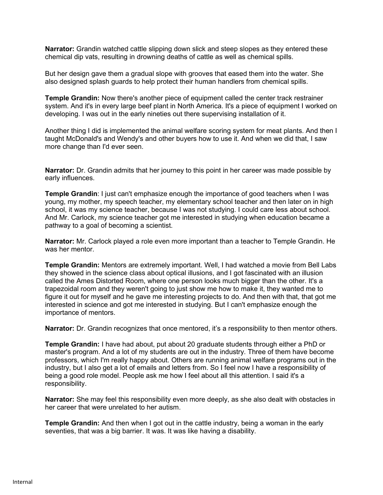**Narrator:** Grandin watched cattle slipping down slick and steep slopes as they entered these chemical dip vats, resulting in drowning deaths of cattle as well as chemical spills.

But her design gave them a gradual slope with grooves that eased them into the water. She also designed splash guards to help protect their human handlers from chemical spills.

**Temple Grandin:** Now there's another piece of equipment called the center track restrainer system. And it's in every large beef plant in North America. It's a piece of equipment I worked on developing. I was out in the early nineties out there supervising installation of it.

Another thing I did is implemented the animal welfare scoring system for meat plants. And then I taught McDonald's and Wendy's and other buyers how to use it. And when we did that, I saw more change than I'd ever seen.

**Narrator:** Dr. Grandin admits that her journey to this point in her career was made possible by early influences.

**Temple Grandin**: I just can't emphasize enough the importance of good teachers when I was young, my mother, my speech teacher, my elementary school teacher and then later on in high school, it was my science teacher, because I was not studying. I could care less about school. And Mr. Carlock, my science teacher got me interested in studying when education became a pathway to a goal of becoming a scientist.

**Narrator:** Mr. Carlock played a role even more important than a teacher to Temple Grandin. He was her mentor.

**Temple Grandin:** Mentors are extremely important. Well, I had watched a movie from Bell Labs they showed in the science class about optical illusions, and I got fascinated with an illusion called the Ames Distorted Room, where one person looks much bigger than the other. It's a trapezoidal room and they weren't going to just show me how to make it, they wanted me to figure it out for myself and he gave me interesting projects to do. And then with that, that got me interested in science and got me interested in studying. But I can't emphasize enough the importance of mentors.

**Narrator:** Dr. Grandin recognizes that once mentored, it's a responsibility to then mentor others.

**Temple Grandin:** I have had about, put about 20 graduate students through either a PhD or master's program. And a lot of my students are out in the industry. Three of them have become professors, which I'm really happy about. Others are running animal welfare programs out in the industry, but I also get a lot of emails and letters from. So I feel now I have a responsibility of being a good role model. People ask me how I feel about all this attention. I said it's a responsibility.

**Narrator:** She may feel this responsibility even more deeply, as she also dealt with obstacles in her career that were unrelated to her autism.

**Temple Grandin:** And then when I got out in the cattle industry, being a woman in the early seventies, that was a big barrier. It was. It was like having a disability.